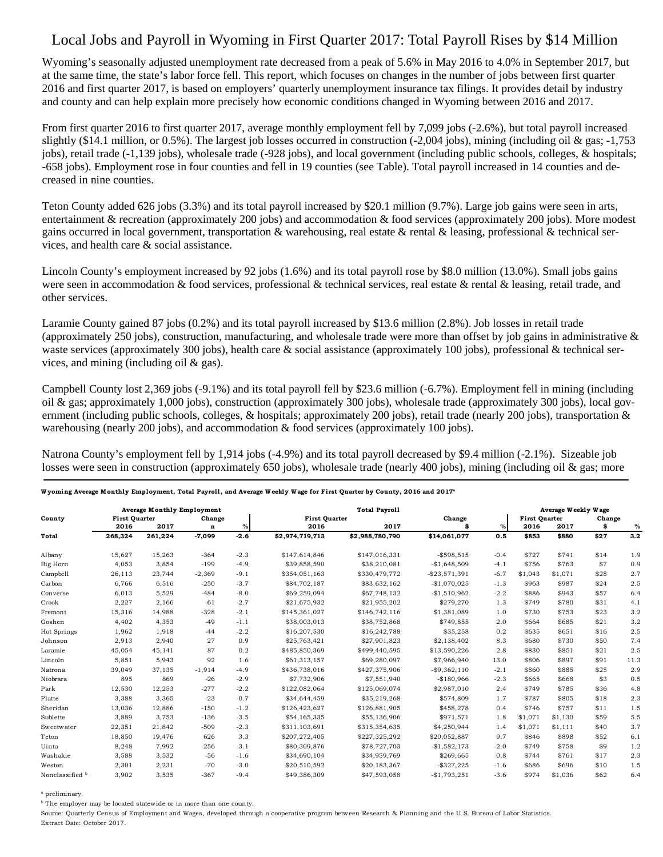## Local Jobs and Payroll in Wyoming in First Quarter 2017: Total Payroll Rises by \$14 Million

Wyoming's seasonally adjusted unemployment rate decreased from a peak of 5.6% in May 2016 to 4.0% in September 2017, but at the same time, the state's labor force fell. This report, which focuses on changes in the number of jobs between first quarter 2016 and first quarter 2017, is based on employers' quarterly unemployment insurance tax filings. It provides detail by industry and county and can help explain more precisely how economic conditions changed in Wyoming between 2016 and 2017.

From first quarter 2016 to first quarter 2017, average monthly employment fell by 7,099 jobs (-2.6%), but total payroll increased slightly (\$14.1 million, or 0.5%). The largest job losses occurred in construction  $(-2,004)$  jobs), mining (including oil & gas;  $-1,753$ jobs), retail trade (-1,139 jobs), wholesale trade (-928 jobs), and local government (including public schools, colleges, & hospitals; -658 jobs). Employment rose in four counties and fell in 19 counties (see Table). Total payroll increased in 14 counties and decreased in nine counties.

Teton County added 626 jobs (3.3%) and its total payroll increased by \$20.1 million (9.7%). Large job gains were seen in arts, entertainment & recreation (approximately 200 jobs) and accommodation & food services (approximately 200 jobs). More modest gains occurred in local government, transportation & warehousing, real estate & rental & leasing, professional & technical services, and health care & social assistance.

Lincoln County's employment increased by 92 jobs (1.6%) and its total payroll rose by \$8.0 million (13.0%). Small jobs gains were seen in accommodation  $\&$  food services, professional  $\&$  technical services, real estate  $\&$  rental  $\&$  leasing, retail trade, and other services.

Laramie County gained 87 jobs (0.2%) and its total payroll increased by \$13.6 million (2.8%). Job losses in retail trade (approximately 250 jobs), construction, manufacturing, and wholesale trade were more than offset by job gains in administrative  $\&$ waste services (approximately 300 jobs), health care  $\&$  social assistance (approximately 100 jobs), professional  $\&$  technical services, and mining (including oil & gas).

Campbell County lost 2,369 jobs (-9.1%) and its total payroll fell by \$23.6 million (-6.7%). Employment fell in mining (including oil & gas; approximately 1,000 jobs), construction (approximately 300 jobs), wholesale trade (approximately 300 jobs), local government (including public schools, colleges,  $\&$  hospitals; approximately 200 jobs), retail trade (nearly 200 jobs), transportation  $\&$ warehousing (nearly 200 jobs), and accommodation & food services (approximately 100 jobs).

Natrona County's employment fell by 1,914 jobs (-4.9%) and its total payroll decreased by \$9.4 million (-2.1%). Sizeable job losses were seen in construction (approximately 650 jobs), wholesale trade (nearly 400 jobs), mining (including oil & gas; more

|                 | <b>Average Monthly Employment</b> |         |             |        | <b>Total Payroll</b> |                 |                |        | Average Weekly Wage  |         |        |      |  |
|-----------------|-----------------------------------|---------|-------------|--------|----------------------|-----------------|----------------|--------|----------------------|---------|--------|------|--|
| County          | <b>First Quarter</b>              |         | Change      |        | <b>First Quarter</b> |                 | Change         |        | <b>First Ouarter</b> |         | Change |      |  |
|                 | 2016                              | 2017    | $\mathbf n$ | $\%$   | 2016                 | 2017            |                | $\%$   | 2016                 | 2017    | \$     | $\%$ |  |
| Total           | 268,324                           | 261,224 | $-7,099$    | $-2.6$ | \$2,974,719,713      | \$2,988,780,790 | \$14,061,077   | 0.5    | \$853                | \$880   | \$27   | 3.2  |  |
| Albany          | 15,627                            | 15,263  | $-364$      | $-2.3$ | \$147,614,846        | \$147,016,331   | $-$598,515$    | $-0.4$ | \$727                | \$741   | \$14   | 1.9  |  |
| Big Horn        | 4,053                             | 3,854   | $-199$      | $-4.9$ | \$39,858,590         | \$38,210,081    | $-$1,648,509$  | $-4.1$ | \$756                | \$763   | \$7    | 0.9  |  |
| Campbell        | 26.113                            | 23.744  | $-2.369$    | $-9.1$ | \$354.051.163        | \$330,479,772   | $-$23.571.391$ | $-6.7$ | \$1.043              | \$1.071 | \$28   | 2.7  |  |
| Carbon          | 6,766                             | 6,516   | $-250$      | $-3.7$ | \$84,702,187         | \$83,632,162    | $-$1,070,025$  | $-1.3$ | \$963                | \$987   | \$24   | 2.5  |  |
| Converse        | 6,013                             | 5,529   | $-484$      | $-8.0$ | \$69,259,094         | \$67,748,132    | $-$1,510,962$  | $-2.2$ | \$886                | \$943   | \$57   | 6.4  |  |
| Crook           | 2,227                             | 2,166   | $-61$       | $-2.7$ | \$21,675,932         | \$21,955,202    | \$279,270      | 1.3    | \$749                | \$780   | \$31   | 4.1  |  |
| Fremont         | 15,316                            | 14.988  | $-328$      | $-2.1$ | \$145,361,027        | \$146,742,116   | \$1,381,089    | 1.0    | \$730                | \$753   | \$23   | 3.2  |  |
| Goshen          | 4,402                             | 4,353   | $-49$       | $-1.1$ | \$38,003,013         | \$38,752,868    | \$749,855      | 2.0    | \$664                | \$685   | \$21   | 3.2  |  |
| Hot Springs     | 1,962                             | 1,918   | $-44$       | $-2.2$ | \$16,207,530         | \$16,242,788    | \$35,258       | 0.2    | \$635                | \$651   | \$16   | 2.5  |  |
| Johnson         | 2,913                             | 2,940   | 27          | 0.9    | \$25,763,421         | \$27,901,823    | \$2,138,402    | 8.3    | \$680                | \$730   | \$50   | 7.4  |  |
| Laramie         | 45.054                            | 45.141  | 87          | 0.2    | \$485,850,369        | \$499,440.595   | \$13,590,226   | 2.8    | \$830                | \$851   | \$21   | 2.5  |  |
| Lincoln         | 5,851                             | 5,943   | 92          | 1.6    | \$61,313,157         | \$69,280,097    | \$7,966,940    | 13.0   | \$806                | \$897   | \$91   | 11.3 |  |
| Natrona         | 39,049                            | 37,135  | $-1,914$    | $-4.9$ | \$436,738,016        | \$427,375,906   | $-$9,362,110$  | $-2.1$ | \$860                | \$885   | \$25   | 2.9  |  |
| Niobrara        | 895                               | 869     | $-26$       | $-2.9$ | \$7,732,906          | \$7,551,940     | $-$180,966$    | $-2.3$ | \$665                | \$668   | \$3    | 0.5  |  |
| Park            | 12,530                            | 12,253  | $-277$      | $-2.2$ | \$122,082,064        | \$125,069,074   | \$2,987,010    | 2.4    | \$749                | \$785   | \$36   | 4.8  |  |
| Platte          | 3,388                             | 3,365   | $-23$       | $-0.7$ | \$34,644,459         | \$35,219,268    | \$574,809      | 1.7    | \$787                | \$805   | \$18   | 2.3  |  |
| Sheridan        | 13,036                            | 12,886  | $-150$      | $-1.2$ | \$126,423,627        | \$126,881,905   | \$458,278      | 0.4    | \$746                | \$757   | \$11   | 1.5  |  |
| Sublette        | 3,889                             | 3,753   | $-136$      | $-3.5$ | \$54,165,335         | \$55,136,906    | \$971,571      | 1.8    | \$1,071              | \$1,130 | \$59   | 5.5  |  |
| Sweetwater      | 22,351                            | 21,842  | $-509$      | $-2.3$ | \$311,103,691        | \$315,354,635   | \$4,250,944    | 1.4    | \$1,071              | \$1,111 | \$40   | 3.7  |  |
| Teton           | 18,850                            | 19.476  | 626         | 3.3    | \$207,272,405        | \$227,325,292   | \$20,052,887   | 9.7    | \$846                | \$898   | \$52   | 6.1  |  |
| Uinta           | 8,248                             | 7.992   | $-256$      | $-3.1$ | \$80,309,876         | \$78,727,703    | $-$1,582,173$  | $-2.0$ | \$749                | \$758   | \$9    | 1.2  |  |
| Washakie        | 3,588                             | 3,532   | $-56$       | $-1.6$ | \$34,690,104         | \$34,959,769    | \$269,665      | 0.8    | \$744                | \$761   | \$17   | 2.3  |  |
| Weston          | 2,301                             | 2,231   | $-70$       | $-3.0$ | \$20,510,592         | \$20,183,367    | $-$ \$327,225  | $-1.6$ | \$686                | \$696   | \$10   | 1.5  |  |
| Nonclassified b | 3,902                             | 3,535   | $-367$      | $-9.4$ | \$49,386,309         | \$47,593,058    | $-$1,793,251$  | $-3.6$ | \$974                | \$1,036 | \$62   | 6.4  |  |

## W yoming Average M onthly Employment, Total Payroll, and Average W eekly Wage for First Quarter by County, 2016 and 2017<sup>a</sup>

a preliminary.

<sup>b</sup> The employer may be located statewide or in more than one county.

Source: Quarterly Census of Employment and Wages, developed through a cooperative program between Research & Planning and the U.S. Bureau of Labor Statistics. Extract Date: October 2017.